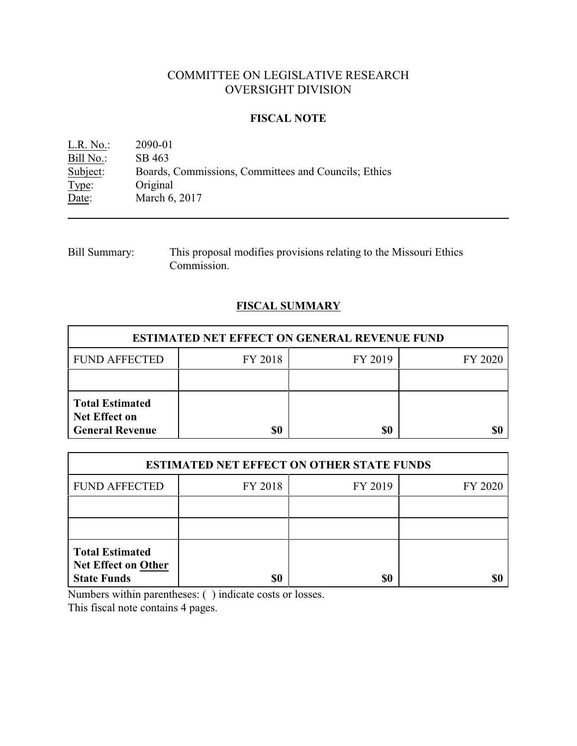# COMMITTEE ON LEGISLATIVE RESEARCH OVERSIGHT DIVISION

### **FISCAL NOTE**

L.R. No.: 2090-01 Bill No.: SB 463<br>Subject: Boards, Boards, Commissions, Committees and Councils; Ethics Type: Original Date: March 6, 2017

Bill Summary: This proposal modifies provisions relating to the Missouri Ethics Commission.

## **FISCAL SUMMARY**

| <b>ESTIMATED NET EFFECT ON GENERAL REVENUE FUND</b>                      |         |         |         |  |
|--------------------------------------------------------------------------|---------|---------|---------|--|
| <b>FUND AFFECTED</b>                                                     | FY 2018 | FY 2019 | FY 2020 |  |
|                                                                          |         |         |         |  |
| <b>Total Estimated</b><br><b>Net Effect on</b><br><b>General Revenue</b> |         | \$0     |         |  |

| <b>ESTIMATED NET EFFECT ON OTHER STATE FUNDS</b>                           |         |         |         |  |
|----------------------------------------------------------------------------|---------|---------|---------|--|
| <b>FUND AFFECTED</b>                                                       | FY 2018 | FY 2019 | FY 2020 |  |
|                                                                            |         |         |         |  |
|                                                                            |         |         |         |  |
| <b>Total Estimated</b><br><b>Net Effect on Other</b><br><b>State Funds</b> | \$0     | \$0     |         |  |

Numbers within parentheses: ( ) indicate costs or losses.

This fiscal note contains 4 pages.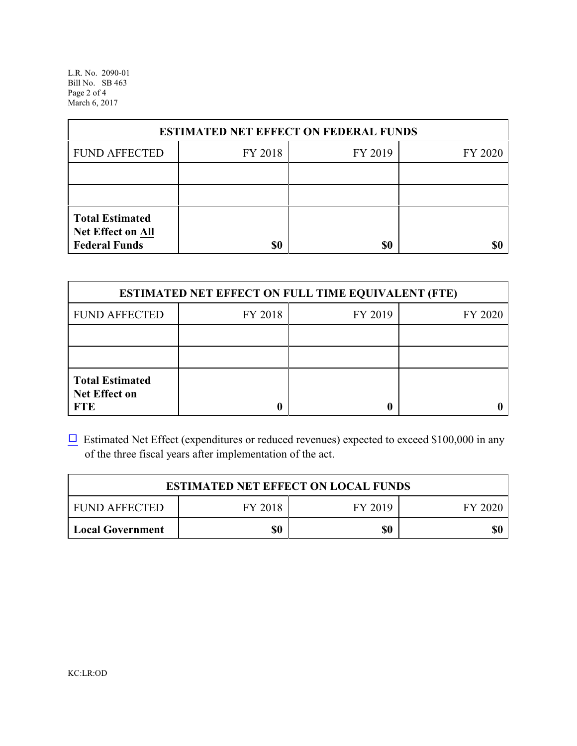L.R. No. 2090-01 Bill No. SB 463 Page 2 of 4 March 6, 2017

| <b>ESTIMATED NET EFFECT ON FEDERAL FUNDS</b>                        |         |         |         |  |
|---------------------------------------------------------------------|---------|---------|---------|--|
| <b>FUND AFFECTED</b>                                                | FY 2018 | FY 2019 | FY 2020 |  |
|                                                                     |         |         |         |  |
|                                                                     |         |         |         |  |
| <b>Total Estimated</b><br>Net Effect on All<br><b>Federal Funds</b> | \$0     | \$0     |         |  |

| <b>ESTIMATED NET EFFECT ON FULL TIME EQUIVALENT (FTE)</b>    |         |         |         |  |
|--------------------------------------------------------------|---------|---------|---------|--|
| <b>FUND AFFECTED</b>                                         | FY 2018 | FY 2019 | FY 2020 |  |
|                                                              |         |         |         |  |
|                                                              |         |         |         |  |
| <b>Total Estimated</b><br><b>Net Effect on</b><br><b>FTE</b> |         |         |         |  |

 $\Box$  Estimated Net Effect (expenditures or reduced revenues) expected to exceed \$100,000 in any of the three fiscal years after implementation of the act.

| <b>ESTIMATED NET EFFECT ON LOCAL FUNDS</b> |         |         |         |  |
|--------------------------------------------|---------|---------|---------|--|
| <b>FUND AFFECTED</b>                       | FY 2018 | FY 2019 | FY 2020 |  |
| <b>Local Government</b>                    | \$0     | \$0     | \$0     |  |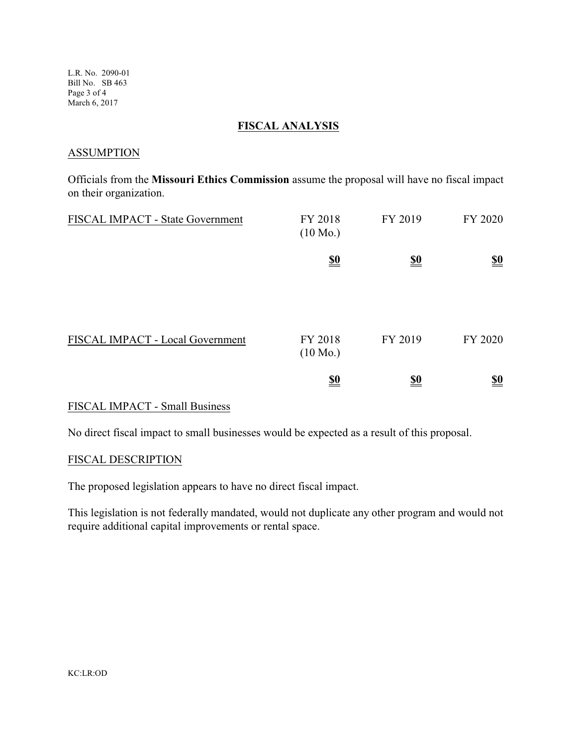L.R. No. 2090-01 Bill No. SB 463 Page 3 of 4 March 6, 2017

## **FISCAL ANALYSIS**

#### **ASSUMPTION**

Officials from the **Missouri Ethics Commission** assume the proposal will have no fiscal impact on their organization.

| FISCAL IMPACT - State Government | FY 2018<br>$(10 \text{ Mo.})$ | FY 2019                       | FY 2020                       |
|----------------------------------|-------------------------------|-------------------------------|-------------------------------|
|                                  | $\underline{\underline{\$0}}$ | $\underline{\underline{\$0}}$ | $\underline{\underline{\$0}}$ |
| FISCAL IMPACT - Local Government | FY 2018<br>$(10 \text{ Mo.})$ | FY 2019                       | FY 2020                       |
|                                  | $\underline{\underline{\$0}}$ | <u>\$0</u>                    | $\underline{\underline{\$0}}$ |

### FISCAL IMPACT - Small Business

No direct fiscal impact to small businesses would be expected as a result of this proposal.

#### FISCAL DESCRIPTION

The proposed legislation appears to have no direct fiscal impact.

This legislation is not federally mandated, would not duplicate any other program and would not require additional capital improvements or rental space.